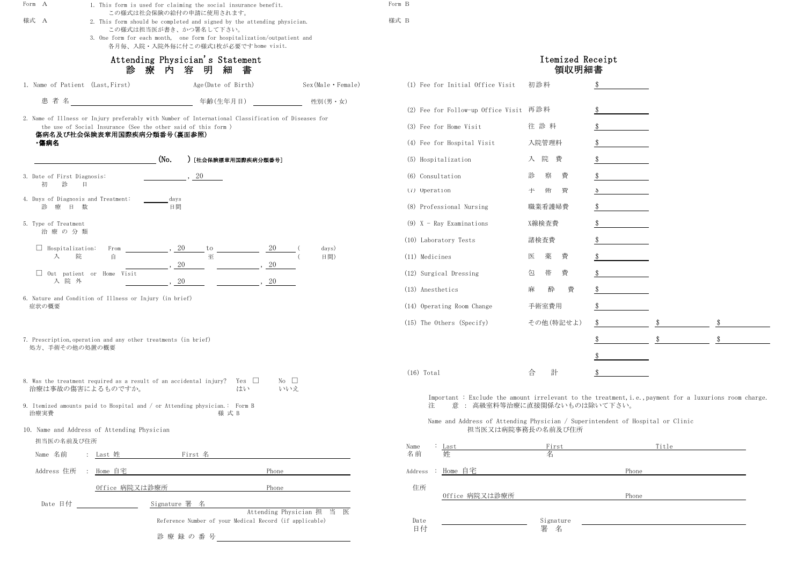| 性別(男・女)                     | (2) Fee for Follow-up Office Visit 再診料                                                                                                     |                     | \$            |       |    |
|-----------------------------|--------------------------------------------------------------------------------------------------------------------------------------------|---------------------|---------------|-------|----|
| seases for                  | (3) Fee for Home Visit                                                                                                                     | 往診料                 | \$            |       |    |
|                             | (4) Fee for Hospital Visit                                                                                                                 | 入院管理料               |               |       |    |
|                             | (5) Hospitalization                                                                                                                        | 院<br>費<br>入         |               |       |    |
|                             | (6) Consultation                                                                                                                           | 察<br>費<br>診         |               |       |    |
|                             | (7) Operation                                                                                                                              | 手<br>術<br>貫         | $\mathcal{P}$ |       |    |
|                             | (8) Professional Nursing                                                                                                                   | 職業看護婦費              |               |       |    |
|                             | $(9)$ X - Ray Examinations                                                                                                                 | X線検査費               |               |       |    |
|                             | (10) Laboratory Tests                                                                                                                      | 諸検査費                |               |       |    |
| days)<br>日間)                | (11) Medicines                                                                                                                             | 薬<br>費<br>医         |               |       |    |
|                             | (12) Surgical Dressing                                                                                                                     | 帯<br>費<br>包         |               |       |    |
|                             | (13) Anesthetics                                                                                                                           | 酔<br>費<br>麻         | \$.           |       |    |
|                             | (14) Operating Room Change                                                                                                                 | 手術室費用               |               |       |    |
|                             | (15) The Others (Specify)                                                                                                                  | その他(特記せよ)           | \$            |       | \$ |
|                             |                                                                                                                                            |                     |               |       |    |
|                             |                                                                                                                                            |                     |               |       |    |
|                             | $(16)$ Total                                                                                                                               | 計<br>合              | S             |       |    |
|                             | Important : Exclude the amount irrelevant to the treatment, i.e., payment for a luxurions room charge.<br>意: 高級室料等治療に直接関係ないものは除いて下さい。<br>注 |                     |               |       |    |
|                             | Name and Address of Attending Physician / Superintendent of Hospital or Clinic                                                             | 担当医又は病院事務長の名前及び住所   |               |       |    |
|                             | : Last<br>Name<br>名前<br>姓                                                                                                                  | First<br>名          |               | Title |    |
|                             | <u>Home 自宅</u><br>Address :                                                                                                                |                     | Phone         |       |    |
|                             | 住所<br>0ffice 病院又は診療所                                                                                                                       |                     | Phone         |       |    |
| cian 担 当<br>医<br>pplicable) | Date<br>日付                                                                                                                                 | Signature<br>署<br>名 |               |       |    |

| Form A                                                                                       | 1. This form is used for claiming the social insurance benefit.                                                                                                                                                                                |                                                         |                                                                                                                      | Form B                                                                                                                        |                     |                |              |
|----------------------------------------------------------------------------------------------|------------------------------------------------------------------------------------------------------------------------------------------------------------------------------------------------------------------------------------------------|---------------------------------------------------------|----------------------------------------------------------------------------------------------------------------------|-------------------------------------------------------------------------------------------------------------------------------|---------------------|----------------|--------------|
| 様式 A                                                                                         | この様式は社会保険の給付の申請に使用されます。<br>2. This form should be completed and signed by the attending physician.<br>この様式は担当医が書き、かつ署名して下さい。<br>3. One form for each month, one form for hospitalization/outpatient and<br>各月毎、入院·入院外毎に付この様式1枚が必要ですhome visit. |                                                         | 様式 B                                                                                                                 |                                                                                                                               |                     |                |              |
| Attending Physician's Statement<br>診<br>療<br>内<br>容<br>明<br>細<br>書                           |                                                                                                                                                                                                                                                |                                                         |                                                                                                                      | Itemized Receipt<br>領収明細書                                                                                                     |                     |                |              |
|                                                                                              | 1. Name of Patient (Last, First)                                                                                                                                                                                                               | Age (Date of Birth)                                     | $Sex (Male \cdot Female)$                                                                                            | (1) Fee for Initial Office Visit                                                                                              | 初診料                 |                |              |
| 患者名                                                                                          | 年齢(生年月日)                                                                                                                                                                                                                                       |                                                         | 性別(男・女)                                                                                                              |                                                                                                                               |                     |                |              |
|                                                                                              | 2. Name of Illness or Injury preferably with Number of International Classification of Diseases for                                                                                                                                            |                                                         |                                                                                                                      | (2) Fee for Follow-up Office Visit 再診料                                                                                        |                     |                |              |
| the use of Social Insurance (See the other said of this form )<br>傷病名及び社会保険表章用国際疾病分類番号(裏面参照) |                                                                                                                                                                                                                                                |                                                         | (3) Fee for Home Visit                                                                                               | 往診料                                                                                                                           |                     |                |              |
| ·傷病名                                                                                         |                                                                                                                                                                                                                                                |                                                         |                                                                                                                      | (4) Fee for Hospital Visit                                                                                                    | 入院管理料               |                |              |
|                                                                                              | (N <sub>0</sub> )                                                                                                                                                                                                                              | [社会保険標章用国際疾病分類番号]                                       |                                                                                                                      | (5) Hospitalization                                                                                                           | 入院費                 |                |              |
| 3. Date of First Diagnosis:<br>診<br>初                                                        | 日                                                                                                                                                                                                                                              | 20                                                      |                                                                                                                      | (6) Consultation                                                                                                              | 察<br>診<br>費         |                |              |
|                                                                                              | 4. Days of Diagnosis and Treatment:<br>days                                                                                                                                                                                                    |                                                         |                                                                                                                      | (7) Operation                                                                                                                 | 师<br>貫<br>手         | $\mathfrak{F}$ |              |
| 診療日数                                                                                         | 日間                                                                                                                                                                                                                                             |                                                         |                                                                                                                      | (8) Professional Nursing                                                                                                      | 職業看護婦費              |                |              |
| 5. Type of Treatment<br>治療の分類                                                                |                                                                                                                                                                                                                                                |                                                         |                                                                                                                      | $(9)$ X - Ray Examinations                                                                                                    | X線検査費               |                |              |
|                                                                                              |                                                                                                                                                                                                                                                |                                                         |                                                                                                                      | (10) Laboratory Tests                                                                                                         | 諸検査費                |                |              |
| $\Box$ Hospitalization:<br>入                                                                 | From<br>自<br>院                                                                                                                                                                                                                                 | to<br>至                                                 | days)<br>日間)                                                                                                         | (11) Medicines                                                                                                                | 薬<br>費<br>医         |                |              |
|                                                                                              | 20<br>$\Box$ Out patient or Home Visit                                                                                                                                                                                                         |                                                         |                                                                                                                      | (12) Surgical Dressing                                                                                                        | 帯<br>費<br>包         |                |              |
| 入院外                                                                                          | $20\,$                                                                                                                                                                                                                                         | 20                                                      |                                                                                                                      | (13) Anesthetics                                                                                                              | 麻<br>酔<br>費         |                |              |
| 症状の概要                                                                                        | 6. Nature and Condition of Illness or Injury (in brief)                                                                                                                                                                                        |                                                         |                                                                                                                      | (14) Operating Room Change                                                                                                    | 手術室費用               |                |              |
|                                                                                              |                                                                                                                                                                                                                                                |                                                         |                                                                                                                      | $(15)$ The Others (Specify)                                                                                                   | その他(特記せよ)           |                |              |
|                                                                                              | 7. Prescription, operation and any other treatments (in brief)                                                                                                                                                                                 |                                                         |                                                                                                                      |                                                                                                                               |                     |                | $\sqrt[6]{}$ |
|                                                                                              | 処方、手術その他の処置の概要                                                                                                                                                                                                                                 |                                                         |                                                                                                                      |                                                                                                                               |                     |                |              |
|                                                                                              |                                                                                                                                                                                                                                                |                                                         |                                                                                                                      | $(16)$ Total                                                                                                                  | 計<br>合              |                |              |
|                                                                                              | 8. Was the treatment required as a result of an accidental injury? Yes $\Box$<br>治療は事故の傷害によるものですか。                                                                                                                                             | はい                                                      | No $\square$                                                                                                         |                                                                                                                               |                     |                |              |
| 治療実費                                                                                         | 9. Itemized amounts paid to Hospital and $/$ or Attending physician.: Form B                                                                                                                                                                   | 様 式 B                                                   | いいえ                                                                                                                  | Important : Exclude the amount irrelevant to the treatment, i.e., payment for a luxurions<br>意: 高級室料等治療に直接関係ないものは除いて下さい。<br>注 |                     |                |              |
|                                                                                              | 10. Name and Address of Attending Physician                                                                                                                                                                                                    |                                                         |                                                                                                                      | Name and Address of Attending Physician / Superintendent of Hospital or Clinic                                                | 担当医又は病院事務長の名前及び住所   |                |              |
| 担当医の名前及び住所<br>Name 名前                                                                        | <b>First 名</b><br>: Last 姓                                                                                                                                                                                                                     |                                                         |                                                                                                                      | Name<br>Last<br>名前<br>姓                                                                                                       | First<br>名          |                | Title        |
| Address 住所                                                                                   | Home 自宅                                                                                                                                                                                                                                        | Phone                                                   |                                                                                                                      | Address : Home 自宅                                                                                                             |                     | Phone          |              |
|                                                                                              |                                                                                                                                                                                                                                                |                                                         |                                                                                                                      |                                                                                                                               |                     |                |              |
|                                                                                              | Office 病院又は診療所                                                                                                                                                                                                                                 | Phone                                                   |                                                                                                                      | 住所<br>Office 病院又は診療所                                                                                                          |                     | Phone          |              |
| Date 日付                                                                                      | Signature 署 名                                                                                                                                                                                                                                  |                                                         | Attending Physician 担 当 医                                                                                            |                                                                                                                               |                     |                |              |
|                                                                                              |                                                                                                                                                                                                                                                | Reference Number of your Medical Record (if applicable) |                                                                                                                      | Date<br>日付                                                                                                                    | Signature<br>署<br>名 |                |              |
|                                                                                              | 診療録の番号                                                                                                                                                                                                                                         |                                                         | <u> 1980 - Jan Samuel Barbara, político establecente de la propia de la propia de la propia de la propia de la p</u> |                                                                                                                               |                     |                |              |

|                                                                                                                                                                                                                              | Itemized Receipt<br>領収明細書 |       |       |    |
|------------------------------------------------------------------------------------------------------------------------------------------------------------------------------------------------------------------------------|---------------------------|-------|-------|----|
| Fee for Initial Office Visit                                                                                                                                                                                                 | 初診料                       | \$    |       |    |
| Fee for Follow-up Office Visit                                                                                                                                                                                               | 再診料                       | \$    |       |    |
| Fee for Home Visit                                                                                                                                                                                                           | 往診料                       |       |       |    |
| Fee for Hospital Visit                                                                                                                                                                                                       | 入院管理料                     |       |       |    |
| Hospitalization                                                                                                                                                                                                              | 院<br>費<br>入               |       |       |    |
| Consultation                                                                                                                                                                                                                 | 診<br>費<br>察               | \$    |       |    |
| Operation                                                                                                                                                                                                                    | 手<br>侕<br>費               | \$    |       |    |
| Professional Nursing                                                                                                                                                                                                         | 職業看護婦費                    |       |       |    |
| X - Ray Examinations                                                                                                                                                                                                         | X線検査費                     |       |       |    |
| Laboratory Tests                                                                                                                                                                                                             | 諸検査費                      | \$    |       |    |
| Medicines                                                                                                                                                                                                                    | 費<br>医<br>薬               |       |       |    |
| Surgical Dressing                                                                                                                                                                                                            | 費<br>帯<br>包               |       |       |    |
| Anesthetics                                                                                                                                                                                                                  | 麻<br>酔<br>費               |       |       |    |
| Operating Room Change                                                                                                                                                                                                        | 手術室費用                     | \$    |       |    |
| The Others (Specify)                                                                                                                                                                                                         | その他 (特記せよ)                | \$    |       | \$ |
|                                                                                                                                                                                                                              |                           | \$    | \$    | \$ |
|                                                                                                                                                                                                                              |                           | \$    |       |    |
| Total                                                                                                                                                                                                                        | 計<br>合                    | \$    |       |    |
| Important : Exclude the amount irrelevant to the treatment, i.e., payment for a luxurions room charge.<br>意: 高級室料等治療に直接関係ないものは除いて下さい。<br>注<br>Name and Address of Attending Physician / Superintendent of Hospital or Clinic | 担当医又は病院事務長の名前及び住所         |       |       |    |
| Last<br>)<br>斤<br>姓                                                                                                                                                                                                          | First<br>名                |       | Title |    |
| Home 自宅<br>ess                                                                                                                                                                                                               |                           | Phone |       |    |
| 所<br>Office 病院又は診療所                                                                                                                                                                                                          |                           | Phone |       |    |
| te                                                                                                                                                                                                                           | Signature                 |       |       |    |